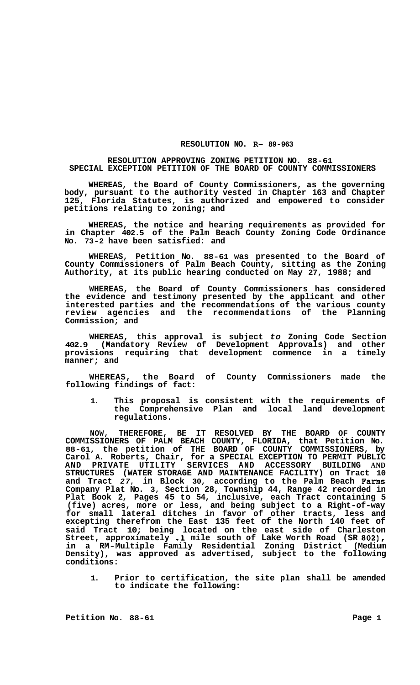## **RESOLUTION NO. R- 89-963**

## **RESOLUTION APPROVING ZONING PETITION NO. 88-61 SPECIAL EXCEPTION PETITION OF THE BOARD OF COUNTY COMMISSIONERS**

**WHEREAS, the Board of County Commissioners, as the governing body, pursuant to the authority vested in Chapter 163 and Chapter 125, Florida Statutes, is authorized and empowered to consider petitions relating to zoning; and** 

**WHEREAS, the notice and hearing requirements as provided for in Chapter 402.5 of the Palm Beach County Zoning Code Ordinance No. 73-2 have been satisfied: and** 

**WHEREAS, Petition No. 88-61 was presented to the Board of County Commissioners of Palm Beach County, sitting as the Zoning Authority, at its public hearing conducted on May 27, 1988; and** 

**WHEREAS, the Board of County Commissioners has considered the evidence and testimony presented by the applicant and other interested parties and the recommendations of the various county review agencies and the recommendations of the Planning Commission; and** 

**WHEREAS, this approval is subject** *to* **Zoning Code Section 402.9 (Mandatory Review of Development Approvals) and other provisions requiring that development commence in a timely manner; and** 

**WHEREAS, the Board of County Commissioners made the following findings of fact:** 

**1. This proposal is consistent with the requirements of the Comprehensive Plan and local land development regulations.** 

**NOW, THEREFORE, BE IT RESOLVED BY THE BOARD OF COUNTY COMMISSIONERS OF PALM BEACH COUNTY, FLORIDA, that Petition No. 88-61, the petition of THE BOARD OF COUNTY COMMISSIONERS, by Carol A. Roberts, Chair, for a SPECIAL EXCEPTION TO PERMIT PUBLIC AND PRIVATE UTILITY SERVICES AND ACCESSORY BUILDING AND STRUCTURES (WATER STORAGE AND MAINTENANCE FACILITY) on Tract 10 and Tract** *27,* **in Block 30, according to the Palm Beach Farms Company Plat No. 3, Section 28, Township 44, Range 42 recorded in Plat Book 2, Pages 45 to 54, inclusive, each Tract containing 5 (five) acres, more or less, and being subject to a Right-of-way for small lateral ditches in favor of other tracts, less and excepting therefrom the East 135 feet of the North 140 feet of said Tract 10; being located on the east side of Charleston Street, approximately .1 mile south of Lake Worth Road (SR** *802),*  **in a RM-Multiple Family Residential Zoning District (Medium Density), was approved as advertised, subject to the following conditions:** 

**1. Prior to certification, the site plan shall be amended to indicate the following:**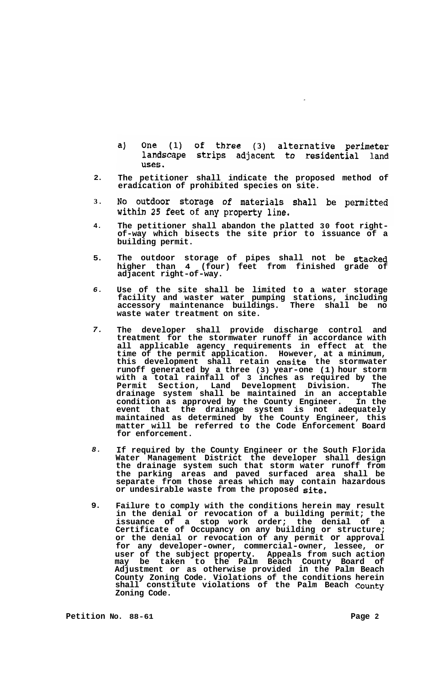- $a)$ One (1) of three (3) alternative perimeter landscape strips adjacent to residential land uses.
- **2. The petitioner shall indicate the proposed method of eradication of prohibited species on site.**
- **3.**  No outdoor storage of materials shall be permitted within 25 feet of any property line.
- **4. The petitioner shall abandon the platted 30 foot right- of-way which bisects the site prior to issuance of a building permit.**
- **5. The outdoor storage of pipes shall not be stacked higher than 4 (four) feet from finished grade of adjacent right-of-way.**
- *6.*  **Use of the site shall be limited to a water storage facility and waster water pumping stations, including accessory maintenance buildings. There shall be no waste water treatment on site.**
- *7.*  **The developer shall provide discharge control and treatment for the stormwater runoff in accordance with all applicable agency requirements in effect at the time of the permit application. However, at a minimum, this development shall retain onsite the stormwater runoff generated by a three (3) year-one (1) hour storm with a total rainfall of 3 inches as required by the Permit Section, Land Development Division. The drainage system shall be maintained in an acceptable condition as approved by the County Engineer. In the event that the drainage system is not adequately maintained as determined by the County Engineer, this matter will be referred to the Code Enforcement Board for enforcement.**
- *8.*  **If required by the County Engineer or the South Florida Water Management District the developer shall design the drainage system such that storm water runoff from the parking areas and paved surfaced area shall be separate from those areas which may contain hazardous or undesirable waste from the proposed site.**
- **9. Failure to comply with the conditions herein may result in the denial or revocation of a building permit; the issuance of a stop work order; the denial of a Certificate of Occupancy on any building or structure; or the denial or revocation of any permit or approval for any developer-owner, commercial-owner, lessee, or user of the subject property. Appeals from such action may be taken to the Palm Beach County Board of Adjustment or as otherwise provided in the Palm Beach County Zoning Code. Violations of the conditions herein shall constitute violations of the Palm Beach County Zoning Code.**